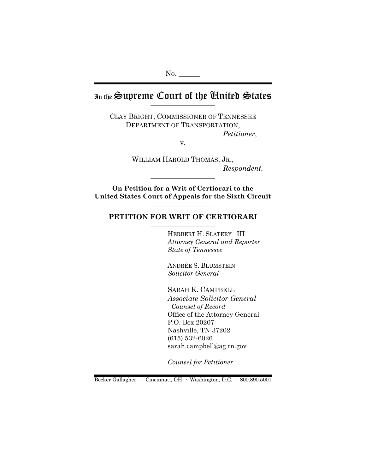No.

# In the Supreme Court of the Chuited States

CLAY BRIGHT, COMMISSIONER OF TENNESSEE DEPARTMENT OF TRANSPORTATION, *Petitioner*,

v.

WILLIAM HAROLD THOMAS, JR.,  $Respondent.$ 

**On Petition for a Writ of Certiorari to the United States Court of Appeals for the Sixth Circuit** \_\_\_\_\_\_\_\_\_\_\_\_\_\_\_\_\_\_

## PETITION FOR WRIT OF CERTIORARI

HERBERT H. SLATERY III *Attorney General and Reporter State of Tennessee*

ANDRÉE S. BLUMSTEIN *Solicitor General*

SARAH K. CAMPBELL *Associate Solicitor General Counsel of Record* Office of the Attorney General P.O. Box 20207 Nashville, TN 37202 (615) 532-6026 sarah.campbell@ag.tn.gov

*Counsel for Petitioner*

Becker Gallagher · Cincinnati, OH · Washington, D.C. · 800.890.5001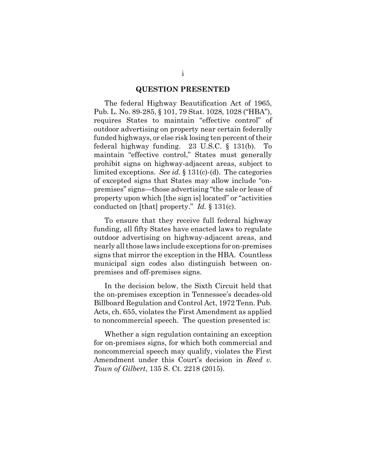#### **QUESTION PRESENTED**

The federal Highway Beautification Act of 1965, Pub. L. No. 89-285, § 101, 79 Stat. 1028, 1028 ("HBA"), requires States to maintain "effective control" of outdoor advertising on property near certain federally funded highways, or else risk losing ten percent of their federal highway funding. 23 U.S.C. § 131(b). To maintain "effective control," States must generally prohibit signs on highway-adjacent areas, subject to limited exceptions. *See id.* § 131(c)-(d). The categories of excepted signs that States may allow include "onpremises" signs—those advertising "the sale or lease of property upon which [the sign is] located" or "activities conducted on [that] property." *Id.* § 131(c).

To ensure that they receive full federal highway funding, all fifty States have enacted laws to regulate outdoor advertising on highway-adjacent areas, and nearly all those laws include exceptions for on-premises signs that mirror the exception in the HBA. Countless municipal sign codes also distinguish between onpremises and off-premises signs.

In the decision below, the Sixth Circuit held that the on-premises exception in Tennessee's decades-old Billboard Regulation and Control Act, 1972 Tenn. Pub. Acts, ch. 655, violates the First Amendment as applied to noncommercial speech. The question presented is:

Whether a sign regulation containing an exception for on-premises signs, for which both commercial and noncommercial speech may qualify, violates the First Amendment under this Court's decision in *Reed v. Town of Gilbert*, 135 S. Ct. 2218 (2015).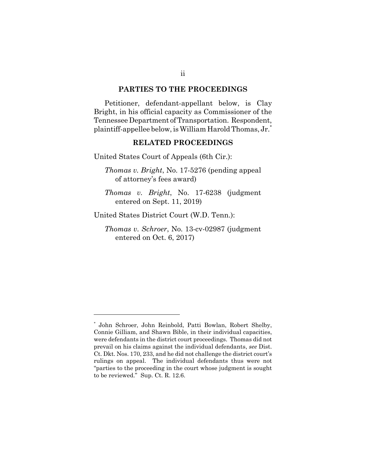#### **PARTIES TO THE PROCEEDINGS**

Petitioner, defendant-appellant below, is Clay Bright, in his official capacity as Commissioner of the Tennessee Department of Transportation. Respondent, plaintiff-appellee below, is William Harold Thomas, Jr. $\dot{ }$ 

### **RELATED PROCEEDINGS**

United States Court of Appeals (6th Cir.):

*Thomas v. Bright*, No. 17-5276 (pending appeal of attorney's fees award)

*Thomas v. Bright*, No. 17-6238 (judgment entered on Sept. 11, 2019)

United States District Court (W.D. Tenn.):

*Thomas v. Schroer*, No. 13-cv-02987 (judgment entered on Oct. 6, 2017)

<sup>\*</sup> John Schroer, John Reinbold, Patti Bowlan, Robert Shelby, Connie Gilliam, and Shawn Bible, in their individual capacities, were defendants in the district court proceedings. Thomas did not prevail on his claims against the individual defendants, *see* Dist. Ct. Dkt. Nos. 170, 233, and he did not challenge the district court's rulings on appeal. The individual defendants thus were not "parties to the proceeding in the court whose judgment is sought to be reviewed." Sup. Ct. R. 12.6.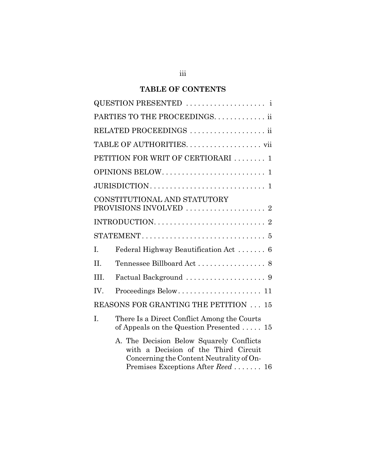## **TABLE OF CONTENTS**

| PARTIES TO THE PROCEEDINGS. ii               |                                                                                                                                                                    |  |
|----------------------------------------------|--------------------------------------------------------------------------------------------------------------------------------------------------------------------|--|
| RELATED PROCEEDINGS  ii                      |                                                                                                                                                                    |  |
|                                              | TABLE OF AUTHORITIES. vii                                                                                                                                          |  |
|                                              | PETITION FOR WRIT OF CERTIORARI  1                                                                                                                                 |  |
|                                              |                                                                                                                                                                    |  |
|                                              |                                                                                                                                                                    |  |
| CONSTITUTIONAL AND STATUTORY                 |                                                                                                                                                                    |  |
|                                              |                                                                                                                                                                    |  |
|                                              |                                                                                                                                                                    |  |
| T.                                           | Federal Highway Beautification Act  6                                                                                                                              |  |
| $\Pi$ .                                      |                                                                                                                                                                    |  |
| III.                                         |                                                                                                                                                                    |  |
| IV.                                          | Proceedings Below 11                                                                                                                                               |  |
| <b>REASONS FOR GRANTING THE PETITION  15</b> |                                                                                                                                                                    |  |
| I.                                           | There Is a Direct Conflict Among the Courts<br>of Appeals on the Question Presented $15$                                                                           |  |
|                                              | A. The Decision Below Squarely Conflicts<br>with a Decision of the Third Circuit<br>Concerning the Content Neutrality of On-<br>Premises Exceptions After Reed  16 |  |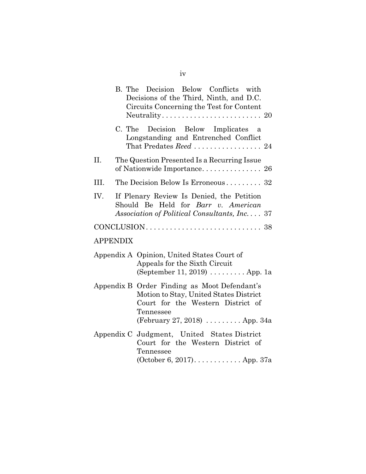|                                                                                                                                                                                                 | B. The Decision Below Conflicts with<br>Decisions of the Third, Ninth, and D.C.<br>Circuits Concerning the Test for Content      |  |
|-------------------------------------------------------------------------------------------------------------------------------------------------------------------------------------------------|----------------------------------------------------------------------------------------------------------------------------------|--|
|                                                                                                                                                                                                 | C. The<br>Decision Below Implicates a<br>Longstanding and Entrenched Conflict                                                    |  |
| II.                                                                                                                                                                                             | The Question Presented Is a Recurring Issue                                                                                      |  |
| III.                                                                                                                                                                                            | The Decision Below Is Erroneous 32                                                                                               |  |
| IV.                                                                                                                                                                                             | If Plenary Review Is Denied, the Petition<br>Should Be Held for Barr v. American<br>Association of Political Consultants, Inc 37 |  |
|                                                                                                                                                                                                 |                                                                                                                                  |  |
|                                                                                                                                                                                                 | <b>APPENDIX</b>                                                                                                                  |  |
|                                                                                                                                                                                                 | Appendix A Opinion, United States Court of<br>Appeals for the Sixth Circuit<br>(September 11, 2019) $\dots \dots$ . App. 1a      |  |
| Appendix B Order Finding as Moot Defendant's<br>Motion to Stay, United States District<br>Court for the Western District of<br>Tennessee<br>(February 27, 2018) $\ldots \ldots \ldots$ App. 34a |                                                                                                                                  |  |
|                                                                                                                                                                                                 | Appendix C Judgment, United States District<br>Court for the Western District of<br>Tennessee<br>(October 6, 2017) App. 37a      |  |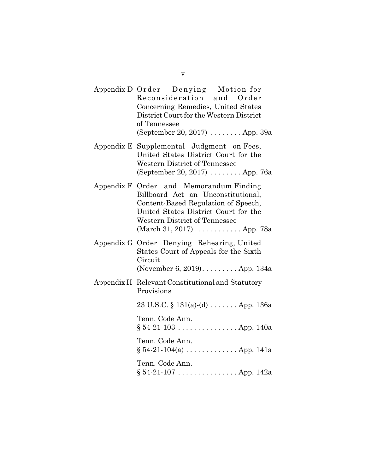- Appendix D Order Denying Motion for Reconsideration and Order Concerning Remedies, United States District Court for the Western District of Tennessee (September 20, 2017) . . . . . . . . App. 39a
- Appendix E Supplemental Judgment on Fees, United States District Court for the Western District of Tennessee (September 20, 2017) . . . . . . . . App. 76a
- Appendix F Order and Memorandum Finding Billboard Act an Unconstitutional, Content-Based Regulation of Speech, United States District Court for the Western District of Tennessee (March 31, 2017). . . . . . . . . . . . App. 78a
- Appendix G Order Denying Rehearing, United States Court of Appeals for the Sixth Circuit (November 6, 2019). . . . . . . . . App. 134a
- Appendix H Relevant Constitutional and Statutory Provisions

23 U.S.C. § 131(a)-(d) . . . . . . . App. 136a

Tenn. Code Ann.  $§ 54-21-103$ ............... App. 140a

Tenn. Code Ann.  $§ 54-21-104(a) \ldots \ldots \ldots$  . App. 141a

Tenn. Code Ann.  $§ 54-21-107 \ldots \ldots \ldots \ldots$  App. 142a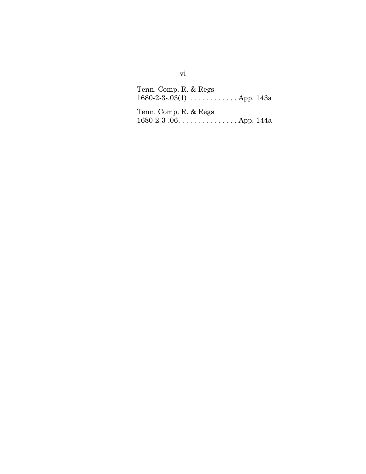Tenn. Comp. R. & Regs 1680-2-3-.03(1)  $\,\ldots\ldots\ldots\ldots$  . App. 143a Tenn. Comp. R. & Regs 1680-2-3-.06. . . . . . . . . . . . . . . App. 144a

vi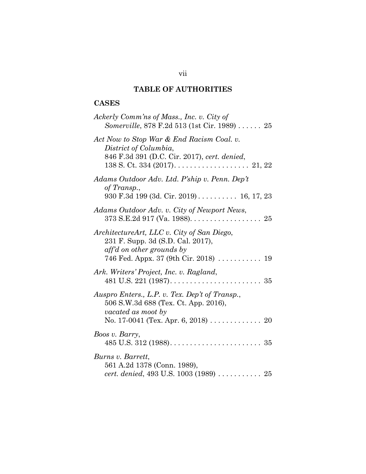## **TABLE OF AUTHORITIES**

## **CASES**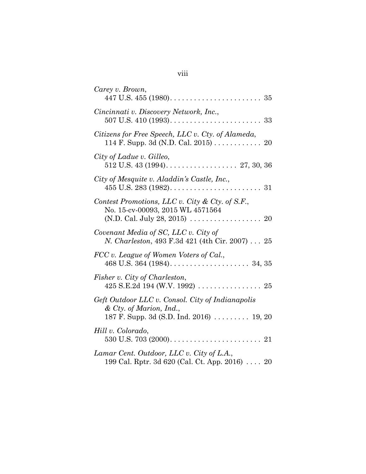| Carey v. Brown,                                                                                                         |
|-------------------------------------------------------------------------------------------------------------------------|
| Cincinnati v. Discovery Network, Inc.,                                                                                  |
| Citizens for Free Speech, LLC v. Cty. of Alameda,<br>114 F. Supp. 3d (N.D. Cal. 2015) 20                                |
| City of Ladue v. Gilleo,                                                                                                |
| City of Mesquite v. Aladdin's Castle, Inc.,                                                                             |
| Contest Promotions, LLC v. City & Cty. of S.F.,<br>No. 15-cv-00093, 2015 WL 4571564                                     |
| Covenant Media of SC, LLC v. City of<br><i>N. Charleston</i> , 493 F.3d 421 (4th Cir. 2007) 25                          |
| FCC v. League of Women Voters of Cal.,                                                                                  |
| Fisher v. City of Charleston,                                                                                           |
| Geft Outdoor LLC v. Consol. City of Indianapolis<br>& Cty. of Marion, Ind.,<br>187 F. Supp. 3d (S.D. Ind. 2016)  19, 20 |
| Hill v. Colorado,                                                                                                       |
| Lamar Cent. Outdoor, LLC v. City of L.A.,<br>199 Cal. Rptr. 3d 620 (Cal. Ct. App. 2016)  20                             |

## viii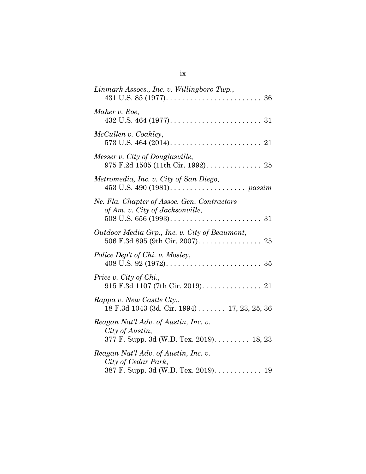| Linmark Assocs., Inc. v. Willingboro Twp.,                                                          |
|-----------------------------------------------------------------------------------------------------|
| Maher v. Roe,                                                                                       |
| McCullen v. Coakley,                                                                                |
| Messer v. City of Douglasville,<br>975 F.2d 1505 (11th Cir. 1992). 25                               |
| Metromedia, Inc. v. City of San Diego,                                                              |
| Ne. Fla. Chapter of Assoc. Gen. Contractors<br>of Am. v. City of Jacksonville,                      |
| Outdoor Media Grp., Inc. v. City of Beaumont,<br>506 F.3d 895 (9th Cir. 2007). 25                   |
| Police Dep't of Chi. v. Mosley,                                                                     |
| Price v. City of Chi.,                                                                              |
| Rappa v. New Castle Cty.,<br>18 F.3d 1043 (3d. Cir. 1994) 17, 23, 25, 36                            |
| Reagan Nat'l Adv. of Austin, Inc. v.<br>City of Austin,<br>377 F. Supp. 3d (W.D. Tex. 2019). 18, 23 |
| Reagan Nat'l Adv. of Austin, Inc. v.<br>City of Cedar Park,<br>387 F. Supp. 3d (W.D. Tex. 2019). 19 |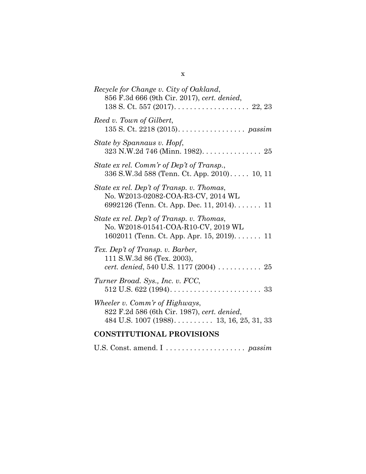| Recycle for Change v. City of Oakland,<br>856 F.3d 666 (9th Cir. 2017), cert. denied,                                         |
|-------------------------------------------------------------------------------------------------------------------------------|
| Reed v. Town of Gilbert,<br>135 S. Ct. 2218 (2015). passim                                                                    |
| State by Spannaus v. Hopf,<br>323 N.W.2d 746 (Minn. 1982). 25                                                                 |
| State ex rel. Comm'r of Dep't of Transp.,<br>336 S.W.3d 588 (Tenn. Ct. App. 2010) 10, 11                                      |
| State ex rel. Dep't of Transp. v. Thomas,<br>No. W2013-02082-COA-R3-CV, 2014 WL<br>6992126 (Tenn. Ct. App. Dec. 11, 2014) 11  |
| State ex rel. Dep't of Transp. v. Thomas,<br>No. W2018-01541-COA-R10-CV, 2019 WL<br>1602011 (Tenn. Ct. App. Apr. 15, 2019) 11 |
| Tex. Dep't of Transp. v. Barber,<br>111 S.W.3d 86 (Tex. 2003),<br>cert. denied, 540 U.S. 1177 (2004)  25                      |
| Turner Broad. Sys., Inc. v. FCC,                                                                                              |
| Wheeler v. Comm'r of Highways,<br>822 F.2d 586 (6th Cir. 1987), cert. denied,<br>484 U.S. $1007 (1988)$ 13, 16, 25, 31, 33    |
| <b>CONSTITUTIONAL PROVISIONS</b>                                                                                              |

U.S. Const. amend. I . . . . . . . . . . . . . . . . . . . . *passim*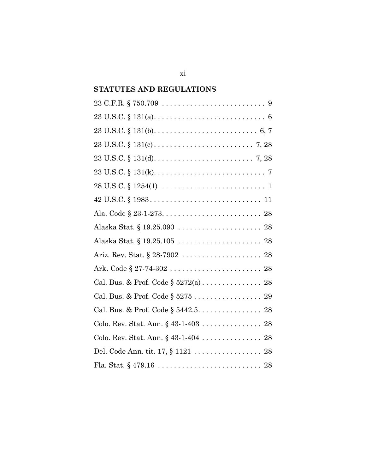## **STATUTES AND REGULATIONS**

| $23 \text{ U.S.C.} \S 131(d) \ldots \ldots \ldots \ldots \ldots \ldots \ldots \ldots \ldots \ldots 7, 28$         |
|-------------------------------------------------------------------------------------------------------------------|
| $23 \text{ U.S.C.} \S 131(k) \ldots \ldots \ldots \ldots \ldots \ldots \ldots \ldots \ldots \ldots \ldots \ldots$ |
| $28 \text{ U.S.C.} \S 1254(1) \ldots \ldots \ldots \ldots \ldots \ldots \ldots \ldots \ldots 1$                   |
| $42 \text{ U.S.C.} \$ $1983 \ldots \ldots \ldots \ldots \ldots \ldots \ldots \ldots \ldots \ldots \ldots 11$      |
|                                                                                                                   |
|                                                                                                                   |
|                                                                                                                   |
|                                                                                                                   |
|                                                                                                                   |
|                                                                                                                   |
| Cal. Bus. & Prof. Code § 5275 29                                                                                  |
| Cal. Bus. & Prof. Code § 5442.5. 28                                                                               |
|                                                                                                                   |
| Colo. Rev. Stat. Ann. § 43-1-404 28                                                                               |
|                                                                                                                   |
|                                                                                                                   |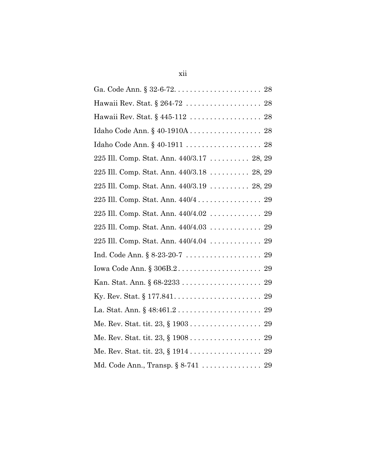| Hawaii Rev. Stat. § 264-72  28            |
|-------------------------------------------|
|                                           |
| Idaho Code Ann. § 40-1910A 28             |
| Idaho Code Ann. § 40-1911  28             |
| 225 Ill. Comp. Stat. Ann. 440/3.17 28, 29 |
| 225 Ill. Comp. Stat. Ann. 440/3.18 28, 29 |
| 225 Ill. Comp. Stat. Ann. 440/3.19 28, 29 |
| 225 Ill. Comp. Stat. Ann. 440/4 29        |
| 225 Ill. Comp. Stat. Ann. 440/4.02  29    |
| 225 Ill. Comp. Stat. Ann. 440/4.03 29     |
| 225 Ill. Comp. Stat. Ann. 440/4.04 29     |
|                                           |
|                                           |
|                                           |
|                                           |
|                                           |
| Me. Rev. Stat. tit. 23, § 1903 29         |
| Me. Rev. Stat. tit. 23, § 1908 29         |
|                                           |
|                                           |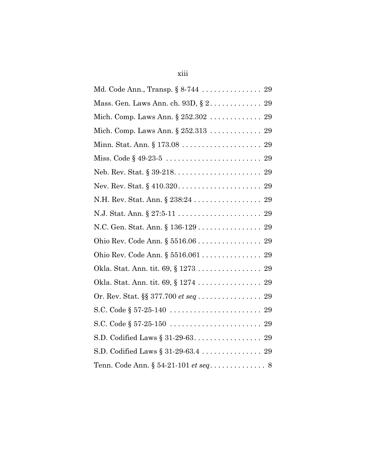# xiii

| Md. Code Ann., Transp. § 8-744 29                                    |
|----------------------------------------------------------------------|
| Mass. Gen. Laws Ann. ch. $93D, \S 2. \ldots \ldots \ldots \ldots 29$ |
| Mich. Comp. Laws Ann. § 252.302  29                                  |
| Mich. Comp. Laws Ann. $\S 252.313 29$                                |
|                                                                      |
|                                                                      |
|                                                                      |
|                                                                      |
| N.H. Rev. Stat. Ann. § 238:24 29                                     |
|                                                                      |
| N.C. Gen. Stat. Ann. § 136-129 29                                    |
| Ohio Rev. Code Ann. § 5516.06 29                                     |
| Ohio Rev. Code Ann. § 5516.061 29                                    |
| Okla. Stat. Ann. tit. 69, § 1273 29                                  |
| Okla. Stat. Ann. tit. 69, § 1274 29                                  |
| Or. Rev. Stat. §§ 377.700 <i>et seq</i> 29                           |
|                                                                      |
|                                                                      |
|                                                                      |
| S.D. Codified Laws § 31-29-63.4 29                                   |
| Tenn. Code Ann. $\S~54-21-101$ <i>et seq</i> 8                       |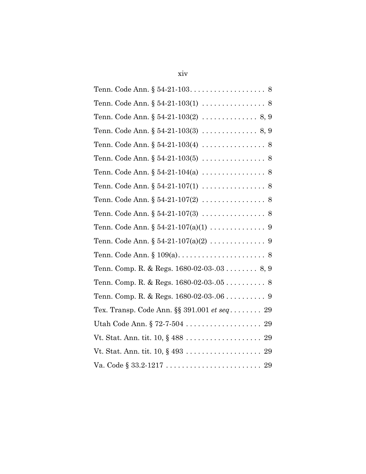| Tenn. Code Ann. $\S 54-21-103(1) \ldots \ldots \ldots \ldots \ldots \ 8$                  |
|-------------------------------------------------------------------------------------------|
| Tenn. Code Ann. $\S 54-21-103(2) \ldots \ldots \ldots \ldots \ldots \ldots \ldots$        |
| Tenn. Code Ann. $\S 54-21-103(3) \ldots \ldots \ldots \ldots \ldots \ldots \ldots \ldots$ |
| Tenn. Code Ann. $\S 54-21-103(4) \ldots \ldots \ldots \ldots \ldots \ 8$                  |
|                                                                                           |
|                                                                                           |
| Tenn. Code Ann. $\S 54-21-107(1) \ldots \ldots \ldots \ldots \ldots \ 8$                  |
| Tenn. Code Ann. $\S 54-21-107(2) \ldots \ldots \ldots \ldots \ldots \ 8$                  |
| Tenn. Code Ann. $\S 54-21-107(3) \ldots \ldots \ldots \ldots \ldots \ 8$                  |
| Tenn. Code Ann. § 54-21-107(a)(1) 9                                                       |
|                                                                                           |
|                                                                                           |
| Tenn. Comp. R. & Regs. 1680-02-03-.03 8, 9                                                |
|                                                                                           |
|                                                                                           |
| Tex. Transp. Code Ann. §§ 391.001 et seq 29                                               |
|                                                                                           |
| Vt. Stat. Ann. tit. $10, \S 488 \ldots \ldots \ldots \ldots \ldots \ldots \ldots 29$      |
|                                                                                           |
| Va. Code $\S 33.2 - 1217 \ldots \ldots \ldots \ldots \ldots \ldots \ldots \ldots 29$      |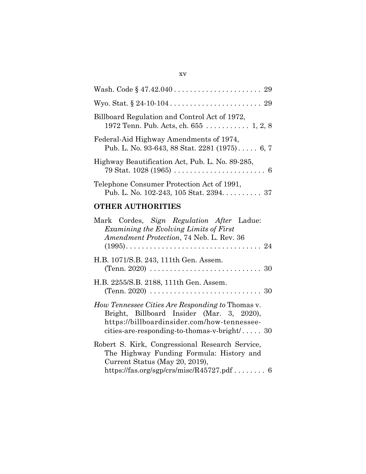| Billboard Regulation and Control Act of 1972,<br>1972 Tenn. Pub. Acts, ch. $655$ 1, 2, 8                                            |
|-------------------------------------------------------------------------------------------------------------------------------------|
| Federal-Aid Highway Amendments of 1974,<br>Pub. L. No. 93-643, 88 Stat. 2281 $(1975)$ 6, 7                                          |
| Highway Beautification Act, Pub. L. No. 89-285,<br>79 Stat. 1028 (1965) $\ldots \ldots \ldots \ldots \ldots \ldots \ldots \ldots$ 6 |
| Telephone Consumer Protection Act of 1991,<br>Pub. L. No. 102-243, 105 Stat. 2394. 37                                               |

## **OTHER AUTHORITIES**

| Mark Cordes, Sign Regulation After Ladue:<br>Examining the Evolving Limits of First<br>Amendment Protection, 74 Neb. L. Rev. 36                                                                 |
|-------------------------------------------------------------------------------------------------------------------------------------------------------------------------------------------------|
| H.B. 1071/S.B. 243, 111th Gen. Assem.                                                                                                                                                           |
| H.B. 2255/S.B. 2188, 111th Gen. Assem.                                                                                                                                                          |
| How Tennessee Cities Are Responding to Thomas v.<br>Bright, Billboard Insider (Mar. 3, 2020),<br>https://billboardinsider.com/how-tennessee-<br>cities-are-responding-to-thomas-v-bright $/$ 30 |
| Robert S. Kirk, Congressional Research Service,<br>The Highway Funding Formula: History and<br>Current Status (May 20, 2019),                                                                   |
|                                                                                                                                                                                                 |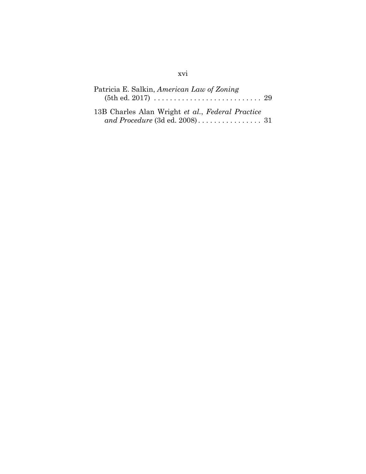## xvi

| Patricia E. Salkin, American Law of Zoning       |  |
|--------------------------------------------------|--|
| 13B Charles Alan Wright et al., Federal Practice |  |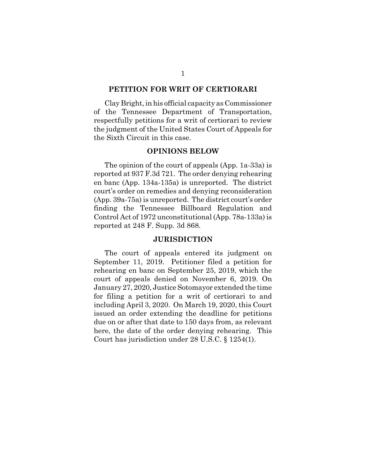#### **PETITION FOR WRIT OF CERTIORARI**

Clay Bright, in his official capacity as Commissioner of the Tennessee Department of Transportation, respectfully petitions for a writ of certiorari to review the judgment of the United States Court of Appeals for the Sixth Circuit in this case.

### **OPINIONS BELOW**

The opinion of the court of appeals (App. 1a-33a) is reported at 937 F.3d 721. The order denying rehearing en banc (App. 134a-135a) is unreported. The district court's order on remedies and denying reconsideration (App. 39a-75a) is unreported. The district court's order finding the Tennessee Billboard Regulation and Control Act of 1972 unconstitutional (App. 78a-133a) is reported at 248 F. Supp. 3d 868.

#### **JURISDICTION**

The court of appeals entered its judgment on September 11, 2019. Petitioner filed a petition for rehearing en banc on September 25, 2019, which the court of appeals denied on November 6, 2019. On January 27, 2020, Justice Sotomayor extended the time for filing a petition for a writ of certiorari to and including April 3, 2020. On March 19, 2020, this Court issued an order extending the deadline for petitions due on or after that date to 150 days from, as relevant here, the date of the order denying rehearing. This Court has jurisdiction under 28 U.S.C. § 1254(1).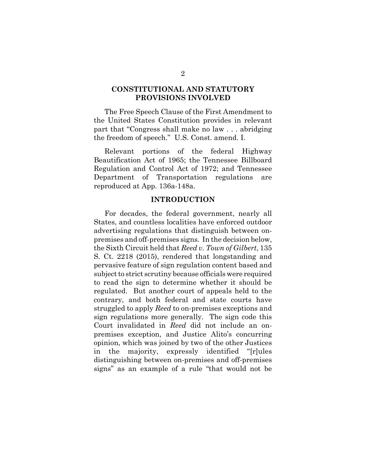### **CONSTITUTIONAL AND STATUTORY PROVISIONS INVOLVED**

The Free Speech Clause of the First Amendment to the United States Constitution provides in relevant part that "Congress shall make no law . . . abridging the freedom of speech." U.S. Const. amend. I.

Relevant portions of the federal Highway Beautification Act of 1965; the Tennessee Billboard Regulation and Control Act of 1972; and Tennessee Department of Transportation regulations are reproduced at App. 136a-148a.

#### **INTRODUCTION**

For decades, the federal government, nearly all States, and countless localities have enforced outdoor advertising regulations that distinguish between onpremises and off-premises signs. In the decision below, the Sixth Circuit held that *Reed v. Town of Gilbert*, 135 S. Ct. 2218 (2015), rendered that longstanding and pervasive feature of sign regulation content based and subject to strict scrutiny because officials were required to read the sign to determine whether it should be regulated. But another court of appeals held to the contrary, and both federal and state courts have struggled to apply *Reed* to on-premises exceptions and sign regulations more generally. The sign code this Court invalidated in *Reed* did not include an onpremises exception, and Justice Alito's concurring opinion, which was joined by two of the other Justices in the majority, expressly identified "[r]ules distinguishing between on-premises and off-premises signs" as an example of a rule "that would not be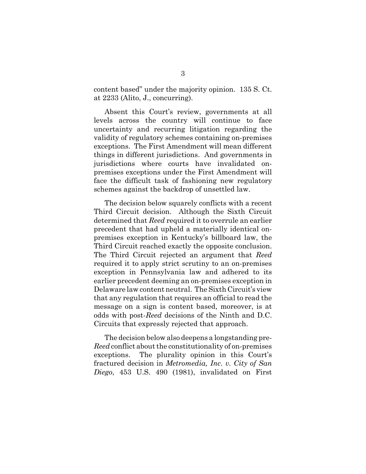content based" under the majority opinion. 135 S. Ct. at 2233 (Alito, J., concurring).

Absent this Court's review, governments at all levels across the country will continue to face uncertainty and recurring litigation regarding the validity of regulatory schemes containing on-premises exceptions. The First Amendment will mean different things in different jurisdictions. And governments in jurisdictions where courts have invalidated onpremises exceptions under the First Amendment will face the difficult task of fashioning new regulatory schemes against the backdrop of unsettled law.

The decision below squarely conflicts with a recent Third Circuit decision. Although the Sixth Circuit determined that *Reed* required it to overrule an earlier precedent that had upheld a materially identical onpremises exception in Kentucky's billboard law, the Third Circuit reached exactly the opposite conclusion. The Third Circuit rejected an argument that *Reed* required it to apply strict scrutiny to an on-premises exception in Pennsylvania law and adhered to its earlier precedent deeming an on-premises exception in Delaware law content neutral. The Sixth Circuit's view that any regulation that requires an official to read the message on a sign is content based, moreover, is at odds with post-*Reed* decisions of the Ninth and D.C. Circuits that expressly rejected that approach.

The decision below also deepens a longstanding pre-*Reed* conflict about the constitutionality of on-premises exceptions. The plurality opinion in this Court's fractured decision in *Metromedia, Inc. v. City of San Diego*, 453 U.S. 490 (1981), invalidated on First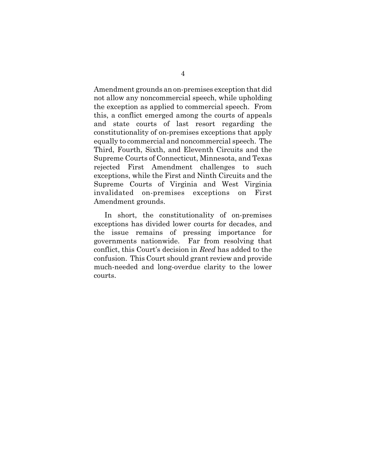Amendment grounds an on-premises exception that did not allow any noncommercial speech, while upholding the exception as applied to commercial speech. From this, a conflict emerged among the courts of appeals and state courts of last resort regarding the constitutionality of on-premises exceptions that apply equally to commercial and noncommercial speech. The Third, Fourth, Sixth, and Eleventh Circuits and the Supreme Courts of Connecticut, Minnesota, and Texas rejected First Amendment challenges to such exceptions, while the First and Ninth Circuits and the Supreme Courts of Virginia and West Virginia invalidated on-premises exceptions on First Amendment grounds.

In short, the constitutionality of on-premises exceptions has divided lower courts for decades, and the issue remains of pressing importance for governments nationwide. Far from resolving that conflict, this Court's decision in *Reed* has added to the confusion. This Court should grant review and provide much-needed and long-overdue clarity to the lower courts.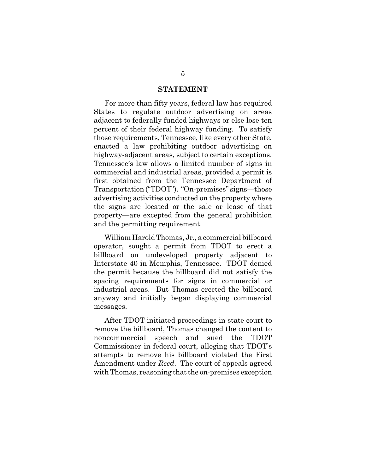#### **STATEMENT**

For more than fifty years, federal law has required States to regulate outdoor advertising on areas adjacent to federally funded highways or else lose ten percent of their federal highway funding. To satisfy those requirements, Tennessee, like every other State, enacted a law prohibiting outdoor advertising on highway-adjacent areas, subject to certain exceptions. Tennessee's law allows a limited number of signs in commercial and industrial areas, provided a permit is first obtained from the Tennessee Department of Transportation ("TDOT"). "On-premises" signs—those advertising activities conducted on the property where the signs are located or the sale or lease of that property—are excepted from the general prohibition and the permitting requirement.

William Harold Thomas, Jr., a commercial billboard operator, sought a permit from TDOT to erect a billboard on undeveloped property adjacent to Interstate 40 in Memphis, Tennessee. TDOT denied the permit because the billboard did not satisfy the spacing requirements for signs in commercial or industrial areas. But Thomas erected the billboard anyway and initially began displaying commercial messages.

After TDOT initiated proceedings in state court to remove the billboard, Thomas changed the content to noncommercial speech and sued the TDOT Commissioner in federal court, alleging that TDOT's attempts to remove his billboard violated the First Amendment under *Reed*. The court of appeals agreed with Thomas, reasoning that the on-premises exception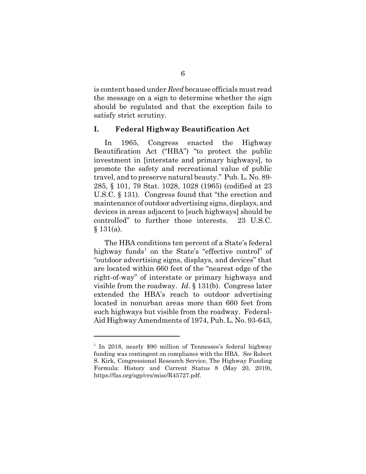is content based under *Reed* because officials must read the message on a sign to determine whether the sign should be regulated and that the exception fails to satisfy strict scrutiny.

### **I. Federal Highway Beautification Act**

In 1965, Congress enacted the Highway Beautification Act ("HBA") "to protect the public investment in [interstate and primary highways], to promote the safety and recreational value of public travel, and to preserve natural beauty." Pub. L. No. 89- 285, § 101, 79 Stat. 1028, 1028 (1965) (codified at 23 U.S.C. § 131). Congress found that "the erection and maintenance of outdoor advertising signs, displays, and devices in areas adjacent to [such highways] should be controlled" to further those interests. 23 U.S.C.  $§ 131(a).$ 

The HBA conditions ten percent of a State's federal highway funds<sup>1</sup> on the State's "effective control" of "outdoor advertising signs, displays, and devices" that are located within 660 feet of the "nearest edge of the right-of-way" of interstate or primary highways and visible from the roadway. *Id.* § 131(b). Congress later extended the HBA's reach to outdoor advertising located in nonurban areas more than 660 feet from such highways but visible from the roadway. Federal-Aid Highway Amendments of 1974, Pub. L. No. 93-643,

<sup>&</sup>lt;sup>1</sup> In 2018, nearly \$90 million of Tennessee's federal highway funding was contingent on compliance with the HBA. *See* Robert S. Kirk, Congressional Research Service, The Highway Funding Formula: History and Current Status 8 (May 20, 2019), https://fas.org/sgp/crs/misc/R45727.pdf.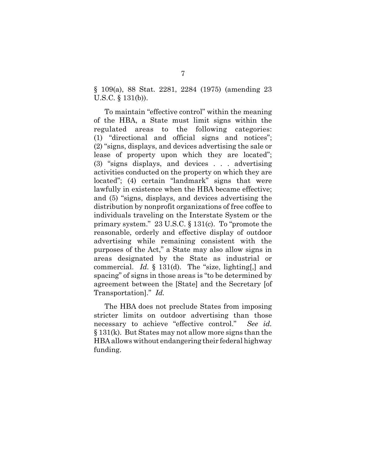§ 109(a), 88 Stat. 2281, 2284 (1975) (amending 23 U.S.C. § 131(b)).

To maintain "effective control" within the meaning of the HBA, a State must limit signs within the regulated areas to the following categories: (1) "directional and official signs and notices"; (2) "signs, displays, and devices advertising the sale or lease of property upon which they are located"; (3) "signs displays, and devices . . . advertising activities conducted on the property on which they are located"; (4) certain "landmark" signs that were lawfully in existence when the HBA became effective; and (5) "signs, displays, and devices advertising the distribution by nonprofit organizations of free coffee to individuals traveling on the Interstate System or the primary system." 23 U.S.C. § 131(c). To "promote the reasonable, orderly and effective display of outdoor advertising while remaining consistent with the purposes of the Act," a State may also allow signs in areas designated by the State as industrial or commercial. *Id.* § 131(d). The "size, lighting[,] and spacing" of signs in those areas is "to be determined by agreement between the [State] and the Secretary [of Transportation]." *Id.*

The HBA does not preclude States from imposing stricter limits on outdoor advertising than those necessary to achieve "effective control." *See id.* § 131(k). But States may not allow more signs than the HBA allows without endangering their federal highway funding.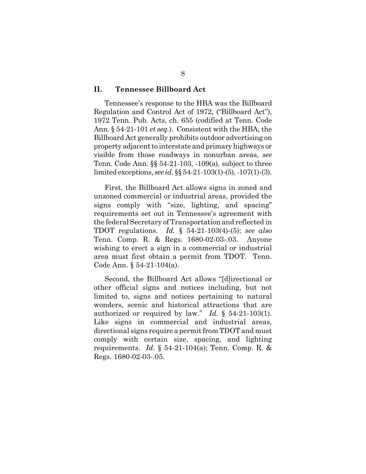#### **II. Tennessee Billboard Act**

Tennessee's response to the HBA was the Billboard Regulation and Control Act of 1972, ("Billboard Act"), 1972 Tenn. Pub. Acts, ch. 655 (codified at Tenn. Code Ann. § 54-21-101 *et seq.*). Consistent with the HBA, the Billboard Act generally prohibits outdoor advertising on property adjacent to interstate and primary highways or visible from those roadways in nonurban areas, *see* Tenn. Code Ann. §§ 54-21-103, -109(a), subject to three limited exceptions, *see id.* §§ 54-21-103(1)-(5), -107(1)-(3).

First, the Billboard Act allows signs in zoned and unzoned commercial or industrial areas, provided the signs comply with "size, lighting, and spacing" requirements set out in Tennessee's agreement with the federal Secretary of Transportation and reflected in TDOT regulations. *Id.* § 54-21-103(4)-(5); *see also* Tenn. Comp. R. & Regs. 1680-02-03-.03. Anyone wishing to erect a sign in a commercial or industrial area must first obtain a permit from TDOT. Tenn. Code Ann. § 54-21-104(a).

Second, the Billboard Act allows "[d]irectional or other official signs and notices including, but not limited to, signs and notices pertaining to natural wonders, scenic and historical attractions that are authorized or required by law." *Id.* § 54-21-103(1). Like signs in commercial and industrial areas, directional signs require a permit from TDOT and must comply with certain size, spacing, and lighting requirements. *Id.* § 54-21-104(a); Tenn. Comp. R. & Regs. 1680-02-03-.05.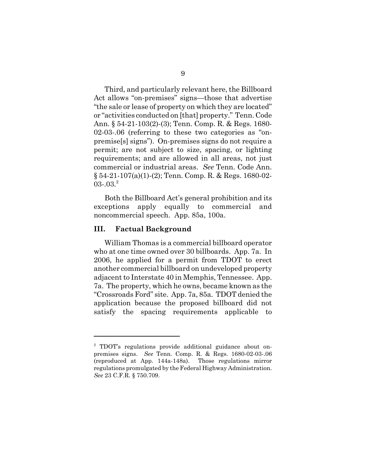Third, and particularly relevant here, the Billboard Act allows "on-premises" signs—those that advertise "the sale or lease of property on which they are located" or "activities conducted on [that] property." Tenn. Code Ann. § 54-21-103(2)-(3); Tenn. Comp. R. & Regs. 1680- 02-03-.06 (referring to these two categories as "onpremise[s] signs"). On-premises signs do not require a permit; are not subject to size, spacing, or lighting requirements; and are allowed in all areas, not just commercial or industrial areas. *See* Tenn. Code Ann. § 54-21-107(a)(1)-(2); Tenn. Comp. R. & Regs. 1680-02-  $03-.03.<sup>2</sup>$ 

Both the Billboard Act's general prohibition and its exceptions apply equally to commercial and noncommercial speech. App. 85a, 100a.

#### **III. Factual Background**

William Thomas is a commercial billboard operator who at one time owned over 30 billboards. App. 7a. In 2006, he applied for a permit from TDOT to erect another commercial billboard on undeveloped property adjacent to Interstate 40 in Memphis, Tennessee. App. 7a. The property, which he owns, became known as the "Crossroads Ford" site. App. 7a, 85a. TDOT denied the application because the proposed billboard did not satisfy the spacing requirements applicable to

<sup>&</sup>lt;sup>2</sup> TDOT's regulations provide additional guidance about onpremises signs. *See* Tenn. Comp. R. & Regs. 1680-02-03-.06 (reproduced at App. 144a-148a). Those regulations mirror regulations promulgated by the Federal Highway Administration. *See* 23 C.F.R. § 750.709.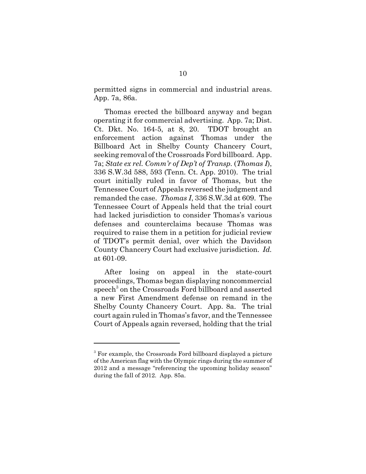permitted signs in commercial and industrial areas. App. 7a, 86a.

Thomas erected the billboard anyway and began operating it for commercial advertising. App. 7a; Dist. Ct. Dkt. No. 164-5, at 8, 20. TDOT brought an enforcement action against Thomas under the Billboard Act in Shelby County Chancery Court, seeking removal of the Crossroads Ford billboard. App. 7a; *State ex rel. Comm'r of Dep't of Transp.* (*Thomas I*), 336 S.W.3d 588, 593 (Tenn. Ct. App. 2010). The trial court initially ruled in favor of Thomas, but the Tennessee Court of Appeals reversed the judgment and remanded the case. *Thomas I*, 336 S.W.3d at 609. The Tennessee Court of Appeals held that the trial court had lacked jurisdiction to consider Thomas's various defenses and counterclaims because Thomas was required to raise them in a petition for judicial review of TDOT's permit denial, over which the Davidson County Chancery Court had exclusive jurisdiction. *Id.* at 601-09.

After losing on appeal in the state-court proceedings, Thomas began displaying noncommercial speech<sup>3</sup> on the Crossroads Ford billboard and asserted a new First Amendment defense on remand in the Shelby County Chancery Court. App. 8a. The trial court again ruled in Thomas's favor, and the Tennessee Court of Appeals again reversed, holding that the trial

<sup>&</sup>lt;sup>3</sup> For example, the Crossroads Ford billboard displayed a picture of the American flag with the Olympic rings during the summer of 2012 and a message "referencing the upcoming holiday season" during the fall of 2012. App. 85a.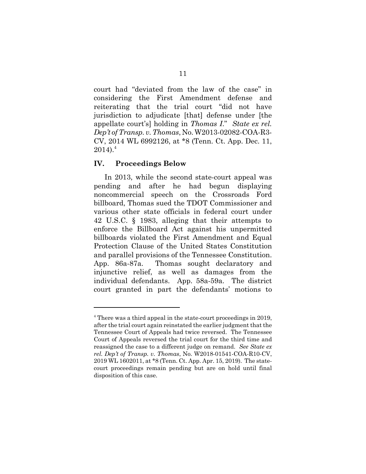court had "deviated from the law of the case" in considering the First Amendment defense and reiterating that the trial court "did not have jurisdiction to adjudicate [that] defense under [the appellate court's] holding in *Thomas I*." *State ex rel. Dep't of Transp. v. Thomas*, No. W2013-02082-COA-R3- CV, 2014 WL 6992126, at \*8 (Tenn. Ct. App. Dec. 11,  $2014$ ).<sup>4</sup>

#### **IV. Proceedings Below**

In 2013, while the second state-court appeal was pending and after he had begun displaying noncommercial speech on the Crossroads Ford billboard, Thomas sued the TDOT Commissioner and various other state officials in federal court under 42 U.S.C. § 1983, alleging that their attempts to enforce the Billboard Act against his unpermitted billboards violated the First Amendment and Equal Protection Clause of the United States Constitution and parallel provisions of the Tennessee Constitution. App. 86a-87a. Thomas sought declaratory and injunctive relief, as well as damages from the individual defendants. App. 58a-59a. The district court granted in part the defendants' motions to

<sup>&</sup>lt;sup>4</sup> There was a third appeal in the state-court proceedings in 2019, after the trial court again reinstated the earlier judgment that the Tennessee Court of Appeals had twice reversed. The Tennessee Court of Appeals reversed the trial court for the third time and reassigned the case to a different judge on remand. *See State ex rel. Dep't of Transp. v. Thomas*, No. W2018-01541-COA-R10-CV, 2019 WL 1602011, at \*8 (Tenn. Ct. App. Apr. 15, 2019). The statecourt proceedings remain pending but are on hold until final disposition of this case.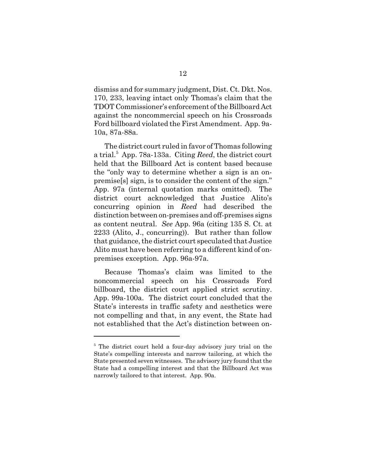dismiss and for summary judgment, Dist. Ct. Dkt. Nos. 170, 233, leaving intact only Thomas's claim that the TDOT Commissioner's enforcement of the Billboard Act against the noncommercial speech on his Crossroads Ford billboard violated the First Amendment. App. 9a-10a, 87a-88a.

The district court ruled in favor of Thomas following a trial.<sup>5</sup> App. 78a-133a. Citing *Reed*, the district court held that the Billboard Act is content based because the "only way to determine whether a sign is an onpremise[s] sign, is to consider the content of the sign." App. 97a (internal quotation marks omitted). The district court acknowledged that Justice Alito's concurring opinion in *Reed* had described the distinction between on-premises and off-premises signs as content neutral. *See* App. 96a (citing 135 S. Ct. at 2233 (Alito, J., concurring)). But rather than follow that guidance, the district court speculated that Justice Alito must have been referring to a different kind of onpremises exception. App. 96a-97a.

Because Thomas's claim was limited to the noncommercial speech on his Crossroads Ford billboard, the district court applied strict scrutiny. App. 99a-100a. The district court concluded that the State's interests in traffic safety and aesthetics were not compelling and that, in any event, the State had not established that the Act's distinction between on-

<sup>&</sup>lt;sup>5</sup> The district court held a four-day advisory jury trial on the State's compelling interests and narrow tailoring, at which the State presented seven witnesses. The advisory jury found that the State had a compelling interest and that the Billboard Act was narrowly tailored to that interest. App. 90a.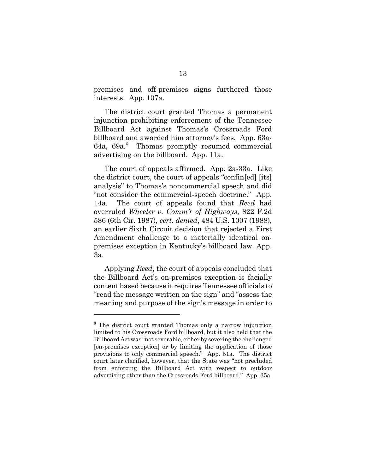premises and off-premises signs furthered those interests. App. 107a.

The district court granted Thomas a permanent injunction prohibiting enforcement of the Tennessee Billboard Act against Thomas's Crossroads Ford billboard and awarded him attorney's fees. App. 63a-64a, 69a.<sup>6</sup> Thomas promptly resumed commercial advertising on the billboard. App. 11a.

The court of appeals affirmed. App. 2a-33a. Like the district court, the court of appeals "confin[ed] [its] analysis" to Thomas's noncommercial speech and did "not consider the commercial-speech doctrine." App. 14a. The court of appeals found that *Reed* had overruled *Wheeler v. Comm'r of Highways*, 822 F.2d 586 (6th Cir. 1987), *cert. denied*, 484 U.S. 1007 (1988), an earlier Sixth Circuit decision that rejected a First Amendment challenge to a materially identical onpremises exception in Kentucky's billboard law. App. 3a.

Applying *Reed*, the court of appeals concluded that the Billboard Act's on-premises exception is facially content based because it requires Tennessee officials to "read the message written on the sign" and "assess the meaning and purpose of the sign's message in order to

<sup>&</sup>lt;sup>6</sup> The district court granted Thomas only a narrow injunction limited to his Crossroads Ford billboard, but it also held that the Billboard Act was "not severable, either by severing the challenged [on-premises exception] or by limiting the application of those provisions to only commercial speech." App. 51a. The district court later clarified, however, that the State was "not precluded from enforcing the Billboard Act with respect to outdoor advertising other than the Crossroads Ford billboard." App. 35a.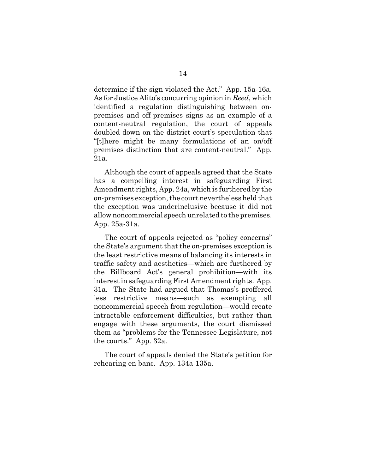determine if the sign violated the Act." App. 15a-16a. As for Justice Alito's concurring opinion in *Reed*, which identified a regulation distinguishing between onpremises and off-premises signs as an example of a content-neutral regulation, the court of appeals doubled down on the district court's speculation that "[t]here might be many formulations of an on/off premises distinction that are content-neutral." App. 21a.

Although the court of appeals agreed that the State has a compelling interest in safeguarding First Amendment rights, App. 24a, which is furthered by the on-premises exception, the court nevertheless held that the exception was underinclusive because it did not allow noncommercial speech unrelated to the premises. App. 25a-31a.

The court of appeals rejected as "policy concerns" the State's argument that the on-premises exception is the least restrictive means of balancing its interests in traffic safety and aesthetics—which are furthered by the Billboard Act's general prohibition—with its interest in safeguarding First Amendment rights. App. 31a. The State had argued that Thomas's proffered less restrictive means—such as exempting all noncommercial speech from regulation—would create intractable enforcement difficulties, but rather than engage with these arguments, the court dismissed them as "problems for the Tennessee Legislature, not the courts." App. 32a.

The court of appeals denied the State's petition for rehearing en banc. App. 134a-135a.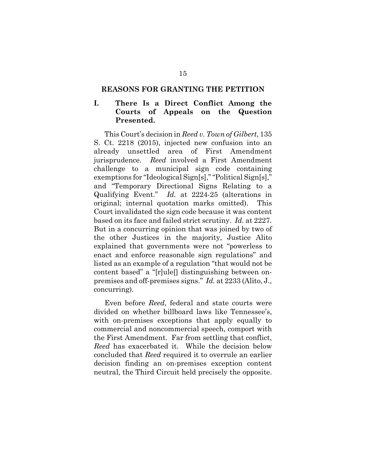#### **REASONS FOR GRANTING THE PETITION**

## **I. There Is a Direct Conflict Among the Courts of Appeals on the Question Presented.**

This Court's decision in *Reed v. Town of Gilbert*, 135 S. Ct. 2218 (2015), injected new confusion into an already unsettled area of First Amendment jurisprudence. *Reed* involved a First Amendment challenge to a municipal sign code containing exemptions for "Ideological Sign[s]," "Political Sign[s]," and "Temporary Directional Signs Relating to a Qualifying Event." *Id.* at 2224-25 (alterations in original; internal quotation marks omitted). This Court invalidated the sign code because it was content based on its face and failed strict scrutiny. *Id.* at 2227. But in a concurring opinion that was joined by two of the other Justices in the majority, Justice Alito explained that governments were not "powerless to enact and enforce reasonable sign regulations" and listed as an example of a regulation "that would not be content based" a "[r]ule[] distinguishing between onpremises and off-premises signs." *Id.* at 2233 (Alito, J., concurring).

Even before *Reed*, federal and state courts were divided on whether billboard laws like Tennessee's, with on-premises exceptions that apply equally to commercial and noncommercial speech, comport with the First Amendment. Far from settling that conflict, *Reed* has exacerbated it. While the decision below concluded that *Reed* required it to overrule an earlier decision finding an on-premises exception content neutral, the Third Circuit held precisely the opposite.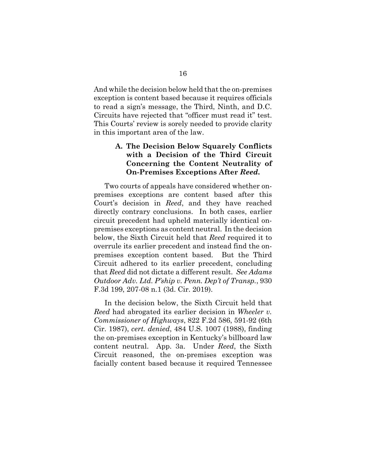And while the decision below held that the on-premises exception is content based because it requires officials to read a sign's message, the Third, Ninth, and D.C. Circuits have rejected that "officer must read it" test. This Courts' review is sorely needed to provide clarity in this important area of the law.

## **A. The Decision Below Squarely Conflicts with a Decision of the Third Circuit Concerning the Content Neutrality of On-Premises Exceptions After** *Reed***.**

Two courts of appeals have considered whether onpremises exceptions are content based after this Court's decision in *Reed*, and they have reached directly contrary conclusions. In both cases, earlier circuit precedent had upheld materially identical onpremises exceptions as content neutral. In the decision below, the Sixth Circuit held that *Reed* required it to overrule its earlier precedent and instead find the onpremises exception content based. But the Third Circuit adhered to its earlier precedent, concluding that *Reed* did not dictate a different result. *See Adams Outdoor Adv. Ltd. P'ship v. Penn. Dep't of Transp.*, 930 F.3d 199, 207-08 n.1 (3d. Cir. 2019).

In the decision below, the Sixth Circuit held that *Reed* had abrogated its earlier decision in *Wheeler v. Commissioner of Highways*, 822 F.2d 586, 591-92 (6th Cir. 1987), *cert. denied*, 484 U.S. 1007 (1988), finding the on-premises exception in Kentucky's billboard law content neutral. App. 3a. Under *Reed*, the Sixth Circuit reasoned, the on-premises exception was facially content based because it required Tennessee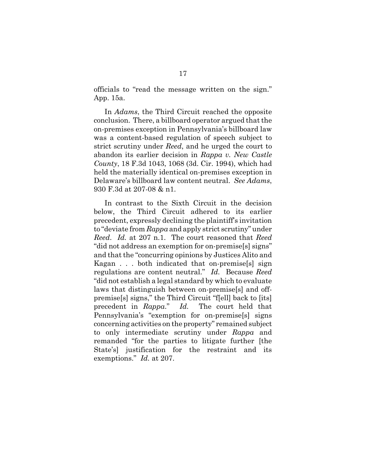officials to "read the message written on the sign." App. 15a.

In *Adams*, the Third Circuit reached the opposite conclusion. There, a billboard operator argued that the on-premises exception in Pennsylvania's billboard law was a content-based regulation of speech subject to strict scrutiny under *Reed*, and he urged the court to abandon its earlier decision in *Rappa v. New Castle County*, 18 F.3d 1043, 1068 (3d. Cir. 1994), which had held the materially identical on-premises exception in Delaware's billboard law content neutral. *See Adams*, 930 F.3d at 207-08 & n1.

In contrast to the Sixth Circuit in the decision below, the Third Circuit adhered to its earlier precedent, expressly declining the plaintiff's invitation to "deviate from *Rappa* and apply strict scrutiny" under *Reed*. *Id.* at 207 n.1. The court reasoned that *Reed* "did not address an exemption for on-premise[s] signs" and that the "concurring opinions by Justices Alito and Kagan . . . both indicated that on-premise[s] sign regulations are content neutral." *Id.* Because *Reed* "did not establish a legal standard by which to evaluate laws that distinguish between on-premise[s] and offpremise[s] signs," the Third Circuit "f[ell] back to [its] precedent in *Rappa*." *Id.* The court held that Pennsylvania's "exemption for on-premise[s] signs concerning activities on the property" remained subject to only intermediate scrutiny under *Rappa* and remanded "for the parties to litigate further [the State's] justification for the restraint and its exemptions." *Id.* at 207.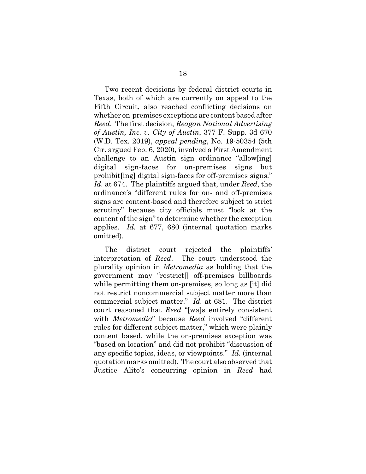Two recent decisions by federal district courts in Texas, both of which are currently on appeal to the Fifth Circuit, also reached conflicting decisions on whether on-premises exceptions are content based after *Reed*. The first decision, *Reagan National Advertising of Austin, Inc. v. City of Austin*, 377 F. Supp. 3d 670 (W.D. Tex. 2019), *appeal pending*, No. 19-50354 (5th Cir. argued Feb. 6, 2020), involved a First Amendment challenge to an Austin sign ordinance "allow[ing] digital sign-faces for on-premises signs but prohibit[ing] digital sign-faces for off-premises signs." *Id.* at 674. The plaintiffs argued that, under *Reed*, the ordinance's "different rules for on- and off-premises signs are content-based and therefore subject to strict scrutiny" because city officials must "look at the content of the sign" to determine whether the exception applies. *Id.* at 677, 680 (internal quotation marks omitted).

The district court rejected the plaintiffs' interpretation of *Reed*. The court understood the plurality opinion in *Metromedia* as holding that the government may "restrict[] off-premises billboards while permitting them on-premises, so long as [it] did not restrict noncommercial subject matter more than commercial subject matter." *Id.* at 681. The district court reasoned that *Reed* "[wa]s entirely consistent with *Metromedia*" because *Reed* involved "different rules for different subject matter," which were plainly content based, while the on-premises exception was "based on location" and did not prohibit "discussion of any specific topics, ideas, or viewpoints." *Id.* (internal quotation marks omitted). The court also observed that Justice Alito's concurring opinion in *Reed* had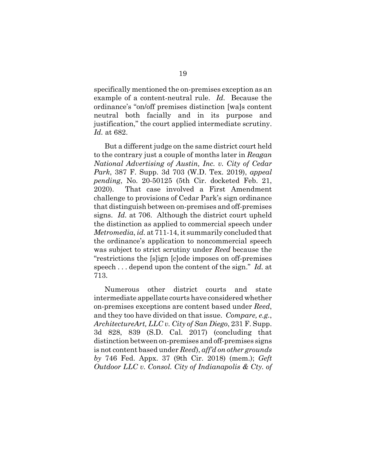specifically mentioned the on-premises exception as an example of a content-neutral rule. *Id.* Because the ordinance's "on/off premises distinction [wa]s content neutral both facially and in its purpose and justification," the court applied intermediate scrutiny. *Id.* at 682.

But a different judge on the same district court held to the contrary just a couple of months later in *Reagan National Advertising of Austin, Inc. v. City of Cedar Park*, 387 F. Supp. 3d 703 (W.D. Tex. 2019), *appeal pending*, No. 20-50125 (5th Cir. docketed Feb. 21, 2020). That case involved a First Amendment challenge to provisions of Cedar Park's sign ordinance that distinguish between on-premises and off-premises signs. *Id.* at 706. Although the district court upheld the distinction as applied to commercial speech under *Metromedia*, *id.* at 711-14, it summarily concluded that the ordinance's application to noncommercial speech was subject to strict scrutiny under *Reed* because the "restrictions the [s]ign [c]ode imposes on off-premises speech . . . depend upon the content of the sign." *Id.* at 713.

Numerous other district courts and state intermediate appellate courts have considered whether on-premises exceptions are content based under *Reed*, and they too have divided on that issue. *Compare, e.g.*, *ArchitectureArt, LLC v. City of San Diego*, 231 F. Supp. 3d 828, 839 (S.D. Cal. 2017) (concluding that distinction between on-premises and off-premises signs is not content based under *Reed*), *aff'd on other grounds by* 746 Fed. Appx. 37 (9th Cir. 2018) (mem.); *Geft Outdoor LLC v. Consol. City of Indianapolis & Cty. of*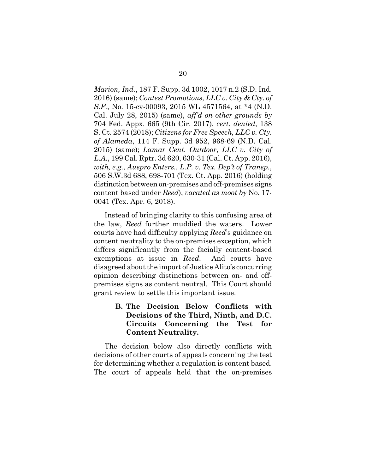*Marion, Ind.*, 187 F. Supp. 3d 1002, 1017 n.2 (S.D. Ind. 2016) (same); *Contest Promotions, LLC v. City & Cty. of S.F.*, No. 15-cv-00093, 2015 WL 4571564, at \*4 (N.D. Cal. July 28, 2015) (same), *aff'd on other grounds by* 704 Fed. Appx. 665 (9th Cir. 2017), *cert. denied*, 138 S. Ct. 2574 (2018); *Citizens for Free Speech, LLC v. Cty. of Alameda*, 114 F. Supp. 3d 952, 968-69 (N.D. Cal. 2015) (same); *Lamar Cent. Outdoor, LLC v. City of L.A.*, 199 Cal. Rptr. 3d 620, 630-31 (Cal. Ct. App. 2016), *with, e.g.*, *Auspro Enters., L.P. v. Tex. Dep't of Transp.*, 506 S.W.3d 688, 698-701 (Tex. Ct. App. 2016) (holding distinction between on-premises and off-premises signs content based under *Reed*), *vacated as moot by* No. 17- 0041 (Tex. Apr. 6, 2018).

Instead of bringing clarity to this confusing area of the law, *Reed* further muddied the waters. Lower courts have had difficulty applying *Reed*'s guidance on content neutrality to the on-premises exception, which differs significantly from the facially content-based exemptions at issue in *Reed*. And courts have disagreed about the import of Justice Alito's concurring opinion describing distinctions between on- and offpremises signs as content neutral. This Court should grant review to settle this important issue.

> **B. The Decision Below Conflicts with Decisions of the Third, Ninth, and D.C. Circuits Concerning the Test for Content Neutrality.**

The decision below also directly conflicts with decisions of other courts of appeals concerning the test for determining whether a regulation is content based. The court of appeals held that the on-premises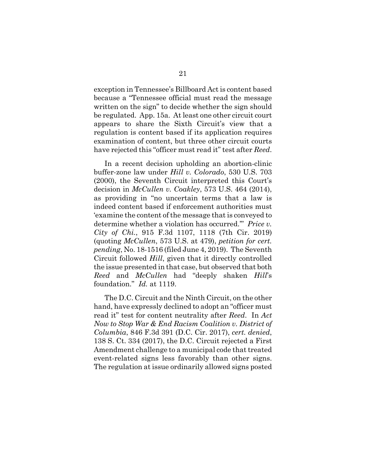exception in Tennessee's Billboard Act is content based because a "Tennessee official must read the message written on the sign" to decide whether the sign should be regulated. App. 15a. At least one other circuit court appears to share the Sixth Circuit's view that a regulation is content based if its application requires examination of content, but three other circuit courts have rejected this "officer must read it" test after *Reed*.

In a recent decision upholding an abortion-clinic buffer-zone law under *Hill v. Colorado*, 530 U.S. 703 (2000), the Seventh Circuit interpreted this Court's decision in *McCullen v. Coakley*, 573 U.S. 464 (2014), as providing in "no uncertain terms that a law is indeed content based if enforcement authorities must 'examine the content of the message that is conveyed to determine whether a violation has occurred.'" *Price v. City of Chi.*, 915 F.3d 1107, 1118 (7th Cir. 2019) (quoting *McCullen*, 573 U.S. at 479), *petition for cert. pending*, No. 18-1516 (filed June 4, 2019). The Seventh Circuit followed *Hill*, given that it directly controlled the issue presented in that case, but observed that both *Reed* and *McCullen* had "deeply shaken *Hill*'s foundation." *Id.* at 1119.

The D.C. Circuit and the Ninth Circuit, on the other hand, have expressly declined to adopt an "officer must read it" test for content neutrality after *Reed*. In *Act Now to Stop War & End Racism Coalition v. District of Columbia*, 846 F.3d 391 (D.C. Cir. 2017), *cert. denied*, 138 S. Ct. 334 (2017), the D.C. Circuit rejected a First Amendment challenge to a municipal code that treated event-related signs less favorably than other signs. The regulation at issue ordinarily allowed signs posted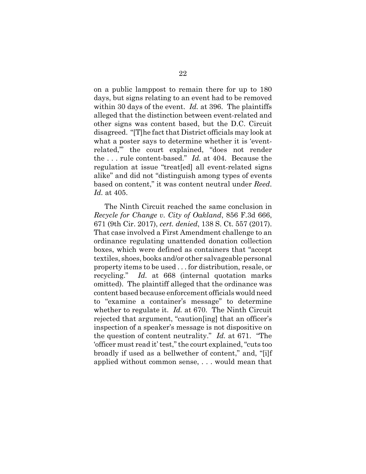on a public lamppost to remain there for up to 180 days, but signs relating to an event had to be removed within 30 days of the event. *Id.* at 396. The plaintiffs alleged that the distinction between event-related and other signs was content based, but the D.C. Circuit disagreed. "[T]he fact that District officials may look at what a poster says to determine whether it is 'eventrelated,'" the court explained, "does not render the . . . rule content-based." *Id.* at 404. Because the regulation at issue "treat[ed] all event-related signs alike" and did not "distinguish among types of events based on content," it was content neutral under *Reed*. *Id.* at 405.

The Ninth Circuit reached the same conclusion in *Recycle for Change v. City of Oakland*, 856 F.3d 666, 671 (9th Cir. 2017), *cert. denied*, 138 S. Ct. 557 (2017). That case involved a First Amendment challenge to an ordinance regulating unattended donation collection boxes, which were defined as containers that "accept textiles, shoes, books and/or other salvageable personal property items to be used . . . for distribution, resale, or recycling." *Id.* at 668 (internal quotation marks omitted). The plaintiff alleged that the ordinance was content based because enforcement officials would need to "examine a container's message" to determine whether to regulate it. *Id.* at 670. The Ninth Circuit rejected that argument, "caution[ing] that an officer's inspection of a speaker's message is not dispositive on the question of content neutrality." *Id.* at 671. "The 'officer must read it' test," the court explained, "cuts too broadly if used as a bellwether of content," and, "[i]f applied without common sense, . . . would mean that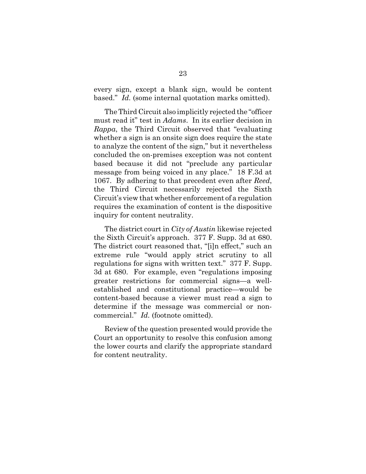every sign, except a blank sign, would be content based." *Id.* (some internal quotation marks omitted).

The Third Circuit also implicitly rejected the "officer must read it" test in *Adams*. In its earlier decision in *Rappa*, the Third Circuit observed that "evaluating whether a sign is an onsite sign does require the state to analyze the content of the sign," but it nevertheless concluded the on-premises exception was not content based because it did not "preclude any particular message from being voiced in any place." 18 F.3d at 1067. By adhering to that precedent even after *Reed*, the Third Circuit necessarily rejected the Sixth Circuit's view that whether enforcement of a regulation requires the examination of content is the dispositive inquiry for content neutrality.

The district court in *City of Austin* likewise rejected the Sixth Circuit's approach. 377 F. Supp. 3d at 680. The district court reasoned that, "[i]n effect," such an extreme rule "would apply strict scrutiny to all regulations for signs with written text." 377 F. Supp. 3d at 680. For example, even "regulations imposing greater restrictions for commercial signs—a wellestablished and constitutional practice—would be content-based because a viewer must read a sign to determine if the message was commercial or noncommercial." *Id.* (footnote omitted).

Review of the question presented would provide the Court an opportunity to resolve this confusion among the lower courts and clarify the appropriate standard for content neutrality.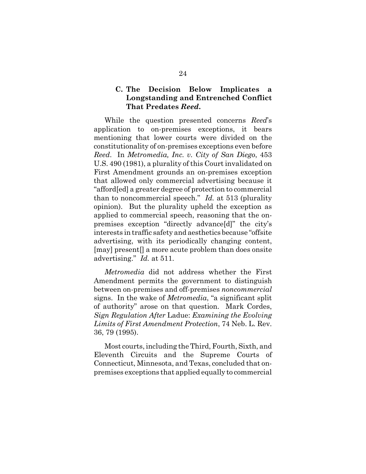### **C. The Decision Below Implicates a Longstanding and Entrenched Conflict That Predates** *Reed***.**

While the question presented concerns *Reed*'s application to on-premises exceptions, it bears mentioning that lower courts were divided on the constitutionality of on-premises exceptions even before *Reed*. In *Metromedia, Inc. v. City of San Diego*, 453 U.S. 490 (1981), a plurality of this Court invalidated on First Amendment grounds an on-premises exception that allowed only commercial advertising because it "afford[ed] a greater degree of protection to commercial than to noncommercial speech." *Id.* at 513 (plurality opinion). But the plurality upheld the exception as applied to commercial speech, reasoning that the onpremises exception "directly advance[d]" the city's interests in traffic safety and aesthetics because "offsite advertising, with its periodically changing content, [may] present[] a more acute problem than does onsite advertising." *Id.* at 511.

*Metromedia* did not address whether the First Amendment permits the government to distinguish between on-premises and off-premises *noncommercial* signs. In the wake of *Metromedia*, "a significant split of authority" arose on that question. Mark Cordes, *Sign Regulation After* Ladue: *Examining the Evolving Limits of First Amendment Protection*, 74 Neb. L. Rev. 36, 79 (1995).

Most courts, including the Third, Fourth, Sixth, and Eleventh Circuits and the Supreme Courts of Connecticut, Minnesota, and Texas, concluded that onpremises exceptions that applied equally to commercial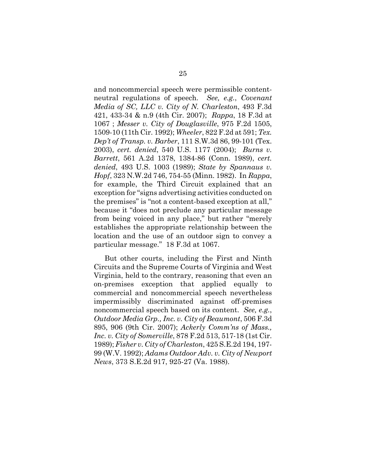and noncommercial speech were permissible contentneutral regulations of speech. *See, e.g.*, *Covenant Media of SC, LLC v. City of N. Charleston*, 493 F.3d 421, 433-34 & n.9 (4th Cir. 2007); *Rappa*, 18 F.3d at 1067 ; *Messer v. City of Douglasville*, 975 F.2d 1505, 1509-10 (11th Cir. 1992); *Wheeler*, 822 F.2d at 591; *Tex. Dep't of Transp. v. Barber*, 111 S.W.3d 86, 99-101 (Tex. 2003), *cert. denied*, 540 U.S. 1177 (2004); *Burns v. Barrett*, 561 A.2d 1378, 1384-86 (Conn. 1989), *cert. denied*, 493 U.S. 1003 (1989); *State by Spannaus v. Hopf*, 323 N.W.2d 746, 754-55 (Minn. 1982). In *Rappa*, for example, the Third Circuit explained that an exception for "signs advertising activities conducted on the premises" is "not a content-based exception at all," because it "does not preclude any particular message from being voiced in any place," but rather "merely establishes the appropriate relationship between the location and the use of an outdoor sign to convey a particular message." 18 F.3d at 1067.

But other courts, including the First and Ninth Circuits and the Supreme Courts of Virginia and West Virginia, held to the contrary, reasoning that even an on-premises exception that applied equally to commercial and noncommercial speech nevertheless impermissibly discriminated against off-premises noncommercial speech based on its content. *See, e.g.*, *Outdoor Media Grp., Inc. v. City of Beaumont*, 506 F.3d 895, 906 (9th Cir. 2007); *Ackerly Comm'ns of Mass., Inc. v. City of Somerville*, 878 F.2d 513, 517-18 (1st Cir. 1989); *Fisher v. City of Charleston*, 425 S.E.2d 194, 197- 99 (W.V. 1992); *Adams Outdoor Adv. v. City of Newport News*, 373 S.E.2d 917, 925-27 (Va. 1988).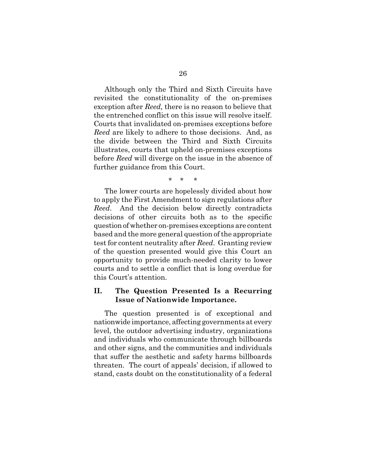Although only the Third and Sixth Circuits have revisited the constitutionality of the on-premises exception after *Reed,* there is no reason to believe that the entrenched conflict on this issue will resolve itself. Courts that invalidated on-premises exceptions before *Reed* are likely to adhere to those decisions. And, as the divide between the Third and Sixth Circuits illustrates, courts that upheld on-premises exceptions before *Reed* will diverge on the issue in the absence of further guidance from this Court.

\* \* \*

The lower courts are hopelessly divided about how to apply the First Amendment to sign regulations after *Reed*. And the decision below directly contradicts decisions of other circuits both as to the specific question of whether on-premises exceptions are content based and the more general question of the appropriate test for content neutrality after *Reed*. Granting review of the question presented would give this Court an opportunity to provide much-needed clarity to lower courts and to settle a conflict that is long overdue for this Court's attention.

### **II. The Question Presented Is a Recurring Issue of Nationwide Importance.**

The question presented is of exceptional and nationwide importance, affecting governments at every level, the outdoor advertising industry, organizations and individuals who communicate through billboards and other signs, and the communities and individuals that suffer the aesthetic and safety harms billboards threaten. The court of appeals' decision, if allowed to stand, casts doubt on the constitutionality of a federal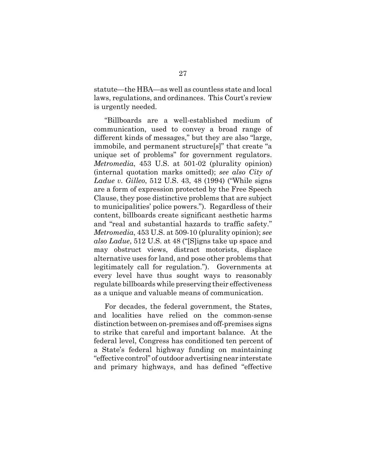statute—the HBA—as well as countless state and local laws, regulations, and ordinances. This Court's review is urgently needed.

"Billboards are a well-established medium of communication, used to convey a broad range of different kinds of messages," but they are also "large, immobile, and permanent structure[s]" that create "a unique set of problems" for government regulators. *Metromedia*, 453 U.S. at 501-02 (plurality opinion) (internal quotation marks omitted); *see also City of Ladue v. Gilleo*, 512 U.S. 43, 48 (1994) ("While signs are a form of expression protected by the Free Speech Clause, they pose distinctive problems that are subject to municipalities' police powers."). Regardless of their content, billboards create significant aesthetic harms and "real and substantial hazards to traffic safety." *Metromedia*, 453 U.S. at 509-10 (plurality opinion); *see also Ladue*, 512 U.S. at 48 ("[S]igns take up space and may obstruct views, distract motorists, displace alternative uses for land, and pose other problems that legitimately call for regulation."). Governments at every level have thus sought ways to reasonably regulate billboards while preserving their effectiveness as a unique and valuable means of communication.

For decades, the federal government, the States, and localities have relied on the common-sense distinction between on-premises and off-premises signs to strike that careful and important balance. At the federal level, Congress has conditioned ten percent of a State's federal highway funding on maintaining "effective control" of outdoor advertising near interstate and primary highways, and has defined "effective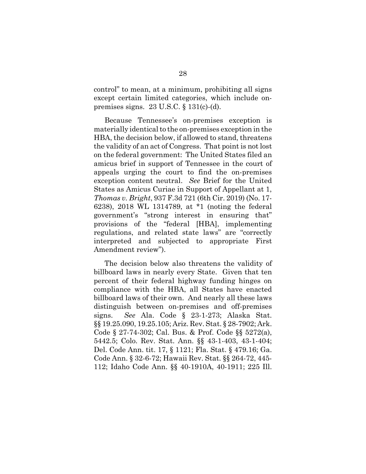control" to mean, at a minimum, prohibiting all signs except certain limited categories, which include onpremises signs. 23 U.S.C. § 131(c)-(d).

Because Tennessee's on-premises exception is materially identical to the on-premises exception in the HBA, the decision below, if allowed to stand, threatens the validity of an act of Congress. That point is not lost on the federal government: The United States filed an amicus brief in support of Tennessee in the court of appeals urging the court to find the on-premises exception content neutral. *See* Brief for the United States as Amicus Curiae in Support of Appellant at 1, *Thomas v. Bright*, 937 F.3d 721 (6th Cir. 2019) (No. 17- 6238), 2018 WL 1314789, at \*1 (noting the federal government's "strong interest in ensuring that" provisions of the "federal [HBA], implementing regulations, and related state laws" are "correctly interpreted and subjected to appropriate First Amendment review").

The decision below also threatens the validity of billboard laws in nearly every State. Given that ten percent of their federal highway funding hinges on compliance with the HBA, all States have enacted billboard laws of their own. And nearly all these laws distinguish between on-premises and off-premises signs. *See* Ala. Code § 23-1-273; Alaska Stat. §§ 19.25.090, 19.25.105; Ariz. Rev. Stat. § 28-7902; Ark. Code § 27-74-302; Cal. Bus. & Prof. Code §§ 5272(a), 5442.5; Colo. Rev. Stat. Ann. §§ 43-1-403, 43-1-404; Del. Code Ann. tit. 17, § 1121; Fla. Stat. § 479.16; Ga. Code Ann. § 32-6-72; Hawaii Rev. Stat. §§ 264-72, 445- 112; Idaho Code Ann. §§ 40-1910A, 40-1911; 225 Ill.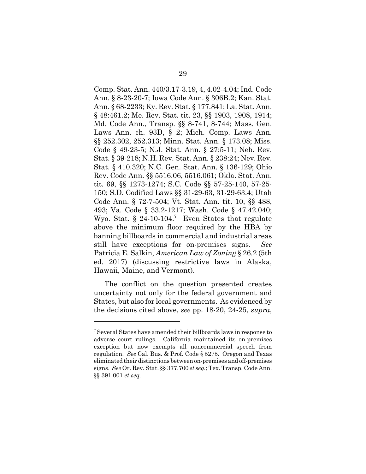Comp. Stat. Ann. 440/3.17-3.19, 4, 4.02-4.04; Ind. Code Ann. § 8-23-20-7; Iowa Code Ann. § 306B.2; Kan. Stat. Ann. § 68-2233; Ky. Rev. Stat. § 177.841; La. Stat. Ann. § 48:461.2; Me. Rev. Stat. tit. 23, §§ 1903, 1908, 1914; Md. Code Ann., Transp. §§ 8-741, 8-744; Mass. Gen. Laws Ann. ch. 93D, § 2; Mich. Comp. Laws Ann. §§ 252.302, 252.313; Minn. Stat. Ann. § 173.08; Miss. Code § 49-23-5; N.J. Stat. Ann. § 27:5-11; Neb. Rev. Stat. § 39-218; N.H. Rev. Stat. Ann. § 238:24; Nev. Rev. Stat. § 410.320; N.C. Gen. Stat. Ann. § 136-129; Ohio Rev. Code Ann. §§ 5516.06, 5516.061; Okla. Stat. Ann. tit. 69, §§ 1273-1274; S.C. Code §§ 57-25-140, 57-25- 150; S.D. Codified Laws §§ 31-29-63, 31-29-63.4; Utah Code Ann. § 72-7-504; Vt. Stat. Ann. tit. 10, §§ 488, 493; Va. Code § 33.2-1217; Wash. Code § 47.42.040; Wyo. Stat.  $\S 24$ -10-104.<sup>7</sup> Even States that regulate above the minimum floor required by the HBA by banning billboards in commercial and industrial areas still have exceptions for on-premises signs. *See* Patricia E. Salkin, *American Law of Zoning* § 26.2 (5th ed. 2017) (discussing restrictive laws in Alaska, Hawaii, Maine, and Vermont).

The conflict on the question presented creates uncertainty not only for the federal government and States, but also for local governments. As evidenced by the decisions cited above, *see* pp. 18-20, 24-25, *supra*,

<sup>&</sup>lt;sup>7</sup> Several States have amended their billboards laws in response to adverse court rulings. California maintained its on-premises exception but now exempts all noncommercial speech from regulation. *See* Cal. Bus. & Prof. Code § 5275. Oregon and Texas eliminated their distinctions between on-premises and off-premises signs. *See* Or. Rev. Stat. §§ 377.700 *et seq.*; Tex. Transp. Code Ann. §§ 391.001 *et seq.*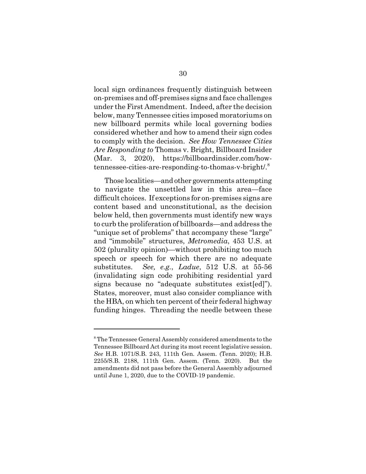local sign ordinances frequently distinguish between on-premises and off-premises signs and face challenges under the First Amendment. Indeed, after the decision below, many Tennessee cities imposed moratoriums on new billboard permits while local governing bodies considered whether and how to amend their sign codes to comply with the decision. *See How Tennessee Cities Are Responding to* Thomas v. Bright, Billboard Insider (Mar. 3, 2020), https://billboardinsider.com/howtennessee-cities-are-responding-to-thomas-v-bright/.8

Those localities—and other governments attempting to navigate the unsettled law in this area—face difficult choices. If exceptions for on-premises signs are content based and unconstitutional, as the decision below held, then governments must identify new ways to curb the proliferation of billboards—and address the "unique set of problems" that accompany these "large" and "immobile" structures, *Metromedia*, 453 U.S. at 502 (plurality opinion)—without prohibiting too much speech or speech for which there are no adequate substitutes. *See, e.g.*, *Ladue*, 512 U.S. at 55-56 (invalidating sign code prohibiting residential yard signs because no "adequate substitutes exist[ed]"). States, moreover, must also consider compliance with the HBA, on which ten percent of their federal highway funding hinges. Threading the needle between these

<sup>&</sup>lt;sup>8</sup> The Tennessee General Assembly considered amendments to the Tennessee Billboard Act during its most recent legislative session. *See* H.B. 1071/S.B. 243, 111th Gen. Assem. (Tenn. 2020); H.B. 2255/S.B. 2188, 111th Gen. Assem. (Tenn. 2020). But the amendments did not pass before the General Assembly adjourned until June 1, 2020, due to the COVID-19 pandemic.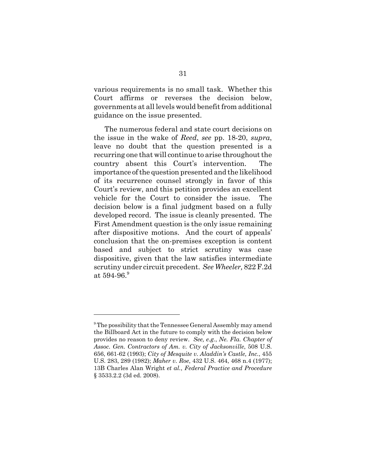various requirements is no small task. Whether this Court affirms or reverses the decision below, governments at all levels would benefit from additional guidance on the issue presented.

The numerous federal and state court decisions on the issue in the wake of *Reed*, *see* pp. 18-20, *supra*, leave no doubt that the question presented is a recurring one that will continue to arise throughout the country absent this Court's intervention. The importance of the question presented and the likelihood of its recurrence counsel strongly in favor of this Court's review, and this petition provides an excellent vehicle for the Court to consider the issue. The decision below is a final judgment based on a fully developed record. The issue is cleanly presented. The First Amendment question is the only issue remaining after dispositive motions. And the court of appeals' conclusion that the on-premises exception is content based and subject to strict scrutiny was case dispositive, given that the law satisfies intermediate scrutiny under circuit precedent. *See Wheeler,* 822 F.2d at  $594-96.9$ 

<sup>&</sup>lt;sup>9</sup> The possibility that the Tennessee General Assembly may amend the Billboard Act in the future to comply with the decision below provides no reason to deny review. *See, e.g.*, *Ne. Fla. Chapter of Assoc. Gen. Contractors of Am. v. City of Jacksonville*, 508 U.S. 656, 661-62 (1993); *City of Mesquite v. Aladdin's Castle, Inc.*, 455 U.S. 283, 289 (1982); *Maher v. Roe*, 432 U.S. 464, 468 n.4 (1977); 13B Charles Alan Wright *et al.*, *Federal Practice and Procedure* § 3533.2.2 (3d ed. 2008).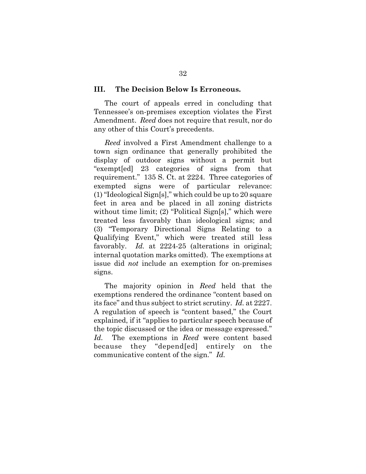#### **III. The Decision Below Is Erroneous.**

The court of appeals erred in concluding that Tennessee's on-premises exception violates the First Amendment. *Reed* does not require that result, nor do any other of this Court's precedents.

*Reed* involved a First Amendment challenge to a town sign ordinance that generally prohibited the display of outdoor signs without a permit but "exempt[ed] 23 categories of signs from that requirement." 135 S. Ct. at 2224. Three categories of exempted signs were of particular relevance: (1) "Ideological Sign[s]," which could be up to 20 square feet in area and be placed in all zoning districts without time limit; (2) "Political Sign[s]," which were treated less favorably than ideological signs; and (3) "Temporary Directional Signs Relating to a Qualifying Event," which were treated still less favorably. *Id.* at 2224-25 (alterations in original; internal quotation marks omitted). The exemptions at issue did *not* include an exemption for on-premises signs.

The majority opinion in *Reed* held that the exemptions rendered the ordinance "content based on its face" and thus subject to strict scrutiny. *Id.* at 2227. A regulation of speech is "content based," the Court explained, if it "applies to particular speech because of the topic discussed or the idea or message expressed." *Id.* The exemptions in *Reed* were content based because they "depend[ed] entirely on the communicative content of the sign." *Id.*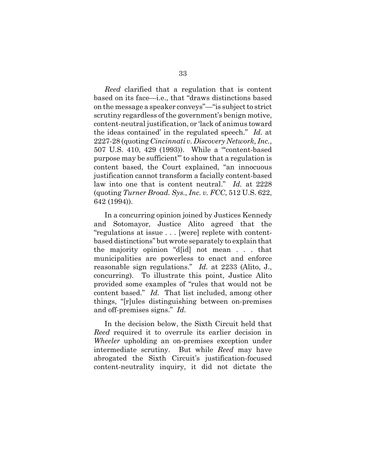*Reed* clarified that a regulation that is content based on its face—i.e., that "draws distinctions based on the message a speaker conveys"—"is subject to strict scrutiny regardless of the government's benign motive, content-neutral justification, or 'lack of animus toward the ideas contained' in the regulated speech." *Id.* at 2227-28 (quoting *Cincinnati v. Discovery Network, Inc.*, 507 U.S. 410, 429 (1993)). While a "'content-based purpose may be sufficient'" to show that a regulation is content based, the Court explained, "an innocuous justification cannot transform a facially content-based law into one that is content neutral." *Id.* at 2228 (quoting *Turner Broad. Sys., Inc. v. FCC*, 512 U.S. 622, 642 (1994)).

In a concurring opinion joined by Justices Kennedy and Sotomayor, Justice Alito agreed that the "regulations at issue . . . [were] replete with contentbased distinctions" but wrote separately to explain that the majority opinion "d[id] not mean . . . that municipalities are powerless to enact and enforce reasonable sign regulations." *Id.* at 2233 (Alito, J., concurring). To illustrate this point, Justice Alito provided some examples of "rules that would not be content based." *Id.* That list included, among other things, "[r]ules distinguishing between on-premises and off-premises signs." *Id.*

In the decision below, the Sixth Circuit held that *Reed* required it to overrule its earlier decision in *Wheeler* upholding an on-premises exception under intermediate scrutiny. But while *Reed* may have abrogated the Sixth Circuit's justification-focused content-neutrality inquiry, it did not dictate the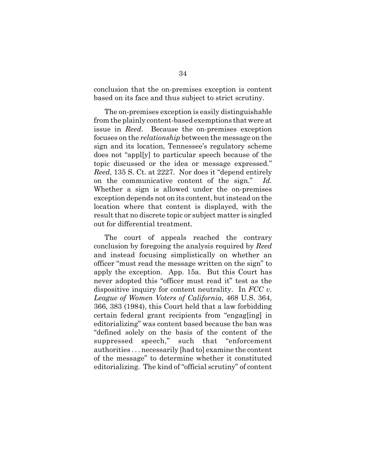conclusion that the on-premises exception is content based on its face and thus subject to strict scrutiny.

The on-premises exception is easily distinguishable from the plainly content-based exemptions that were at issue in *Reed*. Because the on-premises exception focuses on the *relationship* between the message on the sign and its location, Tennessee's regulatory scheme does not "appl[y] to particular speech because of the topic discussed or the idea or message expressed." *Reed*, 135 S. Ct. at 2227. Nor does it "depend entirely on the communicative content of the sign." *Id.* Whether a sign is allowed under the on-premises exception depends not on its content, but instead on the location where that content is displayed, with the result that no discrete topic or subject matter is singled out for differential treatment.

The court of appeals reached the contrary conclusion by foregoing the analysis required by *Reed* and instead focusing simplistically on whether an officer "must read the message written on the sign" to apply the exception. App. 15a. But this Court has never adopted this "officer must read it" test as the dispositive inquiry for content neutrality. In *FCC v. League of Women Voters of California*, 468 U.S. 364, 366, 383 (1984), this Court held that a law forbidding certain federal grant recipients from "engag[ing] in editorializing" was content based because the ban was "defined solely on the basis of the content of the suppressed speech," such that "enforcement authorities . . . necessarily [had to] examine the content of the message" to determine whether it constituted editorializing. The kind of "official scrutiny" of content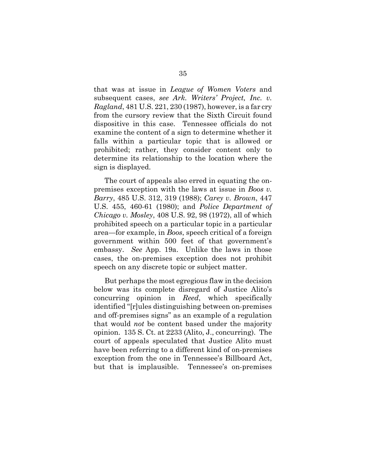that was at issue in *League of Women Voters* and subsequent cases, *see Ark. Writers' Project, Inc. v. Ragland*, 481 U.S. 221, 230 (1987), however, is a far cry from the cursory review that the Sixth Circuit found dispositive in this case. Tennessee officials do not examine the content of a sign to determine whether it falls within a particular topic that is allowed or prohibited; rather, they consider content only to determine its relationship to the location where the sign is displayed.

The court of appeals also erred in equating the onpremises exception with the laws at issue in *Boos v. Barry*, 485 U.S. 312, 319 (1988); *Carey v. Brown*, 447 U.S. 455, 460-61 (1980); and *Police Department of Chicago v. Mosley*, 408 U.S. 92, 98 (1972), all of which prohibited speech on a particular topic in a particular area—for example, in *Boos*, speech critical of a foreign government within 500 feet of that government's embassy. *See* App. 19a. Unlike the laws in those cases, the on-premises exception does not prohibit speech on any discrete topic or subject matter.

But perhaps the most egregious flaw in the decision below was its complete disregard of Justice Alito's concurring opinion in *Reed*, which specifically identified "[r]ules distinguishing between on-premises and off-premises signs" as an example of a regulation that would *not* be content based under the majority opinion. 135 S. Ct. at 2233 (Alito, J., concurring). The court of appeals speculated that Justice Alito must have been referring to a different kind of on-premises exception from the one in Tennessee's Billboard Act, but that is implausible. Tennessee's on-premises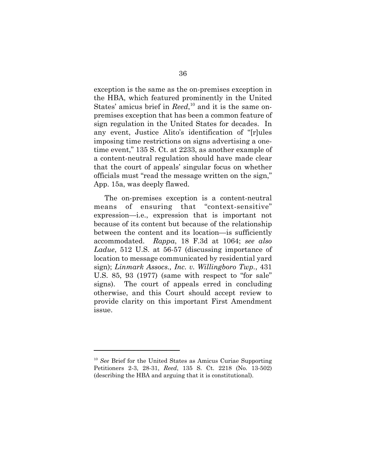exception is the same as the on-premises exception in the HBA, which featured prominently in the United States' amicus brief in *Reed*,<sup>10</sup> and it is the same onpremises exception that has been a common feature of sign regulation in the United States for decades. In any event, Justice Alito's identification of "[r]ules imposing time restrictions on signs advertising a onetime event," 135 S. Ct. at 2233, as another example of a content-neutral regulation should have made clear that the court of appeals' singular focus on whether officials must "read the message written on the sign," App. 15a, was deeply flawed.

The on-premises exception is a content-neutral means of ensuring that "context-sensitive" expression—i.e., expression that is important not because of its content but because of the relationship between the content and its location—is sufficiently accommodated. *Rappa*, 18 F.3d at 1064; *see also Ladue*, 512 U.S. at 56-57 (discussing importance of location to message communicated by residential yard sign); *Linmark Assocs., Inc. v. Willingboro Twp.*, 431 U.S. 85, 93 (1977) (same with respect to "for sale" signs). The court of appeals erred in concluding otherwise, and this Court should accept review to provide clarity on this important First Amendment issue.

<sup>10</sup> *See* Brief for the United States as Amicus Curiae Supporting Petitioners 2-3, 28-31, *Reed*, 135 S. Ct. 2218 (No. 13-502) (describing the HBA and arguing that it is constitutional).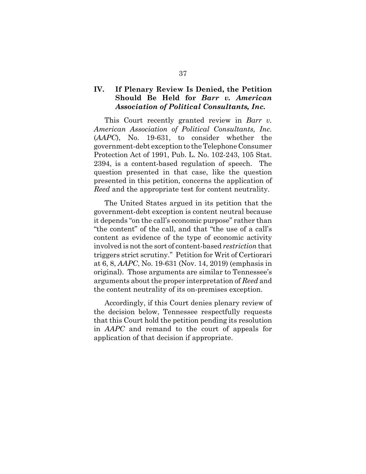## **IV. If Plenary Review Is Denied, the Petition Should Be Held for** *Barr v. American Association of Political Consultants, Inc.*

This Court recently granted review in *Barr v. American Association of Political Consultants, Inc.* (*AAPC*), No. 19-631, to consider whether the government-debt exception to the Telephone Consumer Protection Act of 1991, Pub. L. No. 102-243, 105 Stat. 2394, is a content-based regulation of speech. The question presented in that case, like the question presented in this petition, concerns the application of *Reed* and the appropriate test for content neutrality.

The United States argued in its petition that the government-debt exception is content neutral because it depends "on the call's economic purpose" rather than "the content" of the call, and that "the use of a call's content as evidence of the type of economic activity involved is not the sort of content-based *restriction* that triggers strict scrutiny." Petition for Writ of Certiorari at 6, 8, *AAPC*, No. 19-631 (Nov. 14, 2019) (emphasis in original). Those arguments are similar to Tennessee's arguments about the proper interpretation of *Reed* and the content neutrality of its on-premises exception.

Accordingly, if this Court denies plenary review of the decision below, Tennessee respectfully requests that this Court hold the petition pending its resolution in *AAPC* and remand to the court of appeals for application of that decision if appropriate.